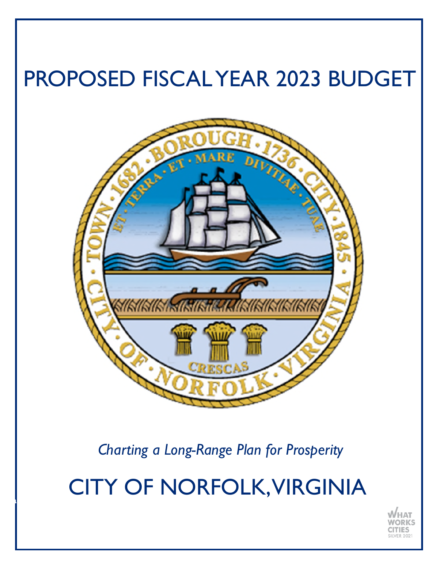## PROPOSED FISCAL YEAR 2023 BUDGET



Charting a Long-Range Plan for Prosperity

**CITY OF NORFOLK, VIRGINIA** 

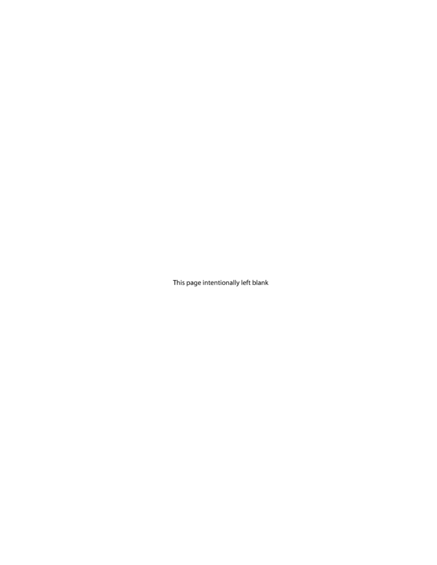This page intentionally left blank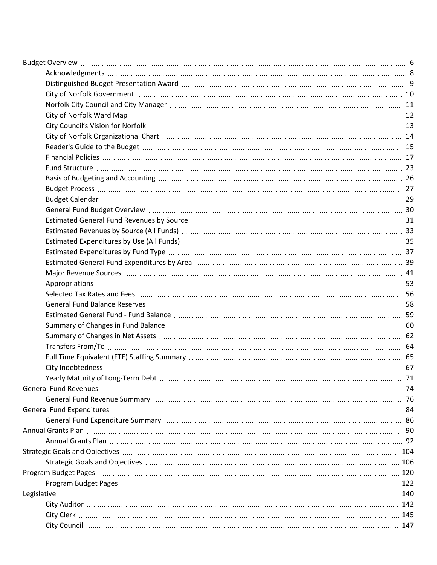| Yearly Maturity of Long-Term Debt | 71  |
|-----------------------------------|-----|
|                                   |     |
|                                   |     |
|                                   |     |
|                                   |     |
|                                   |     |
|                                   |     |
|                                   |     |
|                                   | 106 |
|                                   |     |
|                                   |     |
|                                   |     |
|                                   |     |
|                                   |     |
|                                   |     |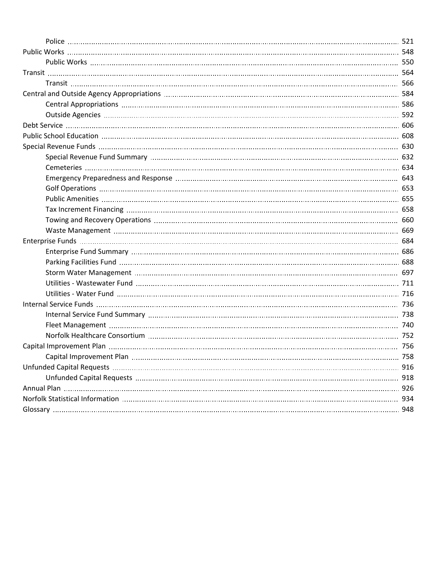| 758 |
|-----|
| 916 |
|     |
| 926 |
|     |
|     |